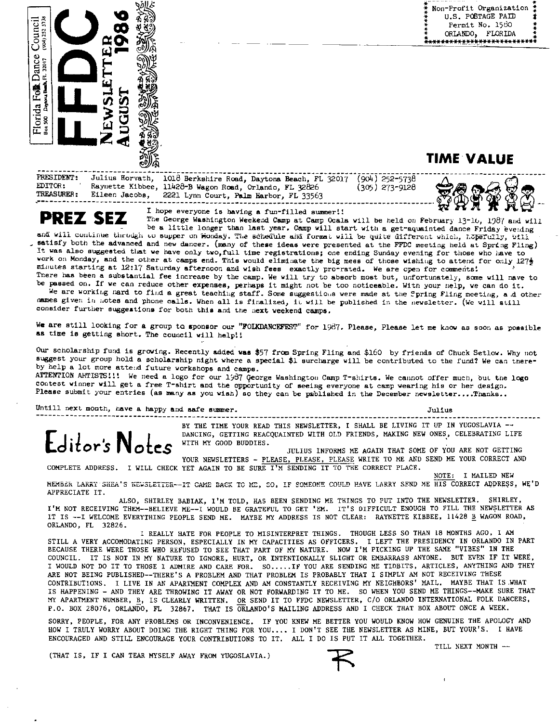Non-Profit Organization U.S. POSTAGE PAID Î Permit No. 1580 ORLANDO, FLORIDA \*\*\*\*\*\*\*\*\*<u>\*\*\*</u>\*\*\*\*\*\*\*\*\*\*\*\*\*\*\*



Julius Horvath, 1018 Berkshire Road, Daytona Beach, FL 32017 (904) 252-5738<br>Raynette Kibbee, 11428-B Wagon Road, Orlando, FL 32826 (305) 273-9128 **TRESIDENT:** EDITOR: TREASURER: Eileen Jacobs, 2221 Lynn Court, Palm Harbor, FL 33563

**TIME VALUE** 

**PREZ SEZ** 

I hope everyone is baving a fun-filled summer!!

The George Washington Weekend Camp at Camp Ocala will be held on February 13-16, 1987 and will be a little longer than last year. Camp will start with a get-aquainted dance Friday evening and will continue through to supper on Honday. The schedule and format will be quite different which, hopefully, will satisfy both the advanced and new dancer. (many of these ideas were presented at the FFDC meeting held at Spring Fling) It was also suggested that we have only two, full time registrations; one ending Sunday evening for those who have to work on Monday, and the other at camps end. This would eliminate the big mess of those wishing to attend for only 1272 minutes starting at 12:17 Saturday afternoon and wish fees exactly pro-rated. We are open for comments! There has been a substantial fee increase by the camp. We will try to absorb most but, unfortunately, some will nave to be passed on. If we can reduce other expenses, perhaps it might not be too noticeable. With your nelp, we can do it.

We are working mard to find a great teaching staff. Some suggestions were made at the Spring Fling meeting, and other mames given in motes and phone calls. When all is finalized, it will be published in the newsletter. (We will still consider further suggestions for both this and the next weekend camps.

We are still looking for a group to sponsor our "FOLKDANCEFEST" for 1987. Please, Please let me know as soon as possible as time is getting short. The council will help!!

Our scholarship fund is growing. Recently added was \$57 from Spring Fling and \$160 by friends of Chuck Setlow. Why not suggest your group hold a scholarship night where a special \$1 surcharge will be contributed to the fund? We can thereby help a lot more attend future workshops and camps.

ATTENTION ARTISTS!!! We need a logo for our 1987 George Washington Camp T-shirts. We cannot offer much, but the logo contest winner will get a free T-shirt and the opportunity of seeing everyone at camp wearing his or her design. Please submit your entries (as many as you wish) so they can be published in the December newsletter....Thanks..

Untill next month, have a happy and safe summer.

 $J<sub>11</sub>1<sub>118</sub>$ 

 $\mathsf{E}$ ditor's  $\mathsf{N}_{\mathsf{O}}$ 

BY THE TIME YOUR READ THIS NEWSLETTER, I SHALL BE LIVING IT UP IN YUGOSLAVIA --DANCING, GETTING REACQUAINTED WITH OLD FRIENDS, MAKING NEW ONES, CELEBRATING LIFE WITH MY GOOD BUDDIES.

JULIUS INFORMS ME AGAIN THAT SOME OF YOU ARE NOT GETTING YOUR NEWSLETTERS - PLEASE, PLEASE, PLEASE WRITE TO ME AND SEND ME YOUR CORRECT AND

COMPLETE ADDRESS. I WILL CHECK YET AGAIN TO BE SURE I'M SENDING IT TO THE CORRECT PLACE. NOTE: I MAILED NEW

MEMBER LARRY SHEA'S NEWSLETTER--IT CAME BACK TO ME, SO, IF SOMEONE COULD HAVE LARRY SEND ME HIS CORRECT ADDRESS, WE'D APPRECIATE IT.

ALSO, SHIRLEY BABIAK, I'M TOLD, HAS BEEN SENDING ME THINGS TO PUT INTO THE NEWSLETTER. SHIRLEY, I'M NOT RECEIVING THEM--BELIEVE ME--I WOULD BE GRATEFUL TO GET 'EM. IT'S DIFFICULT ENOUGH TO FILL THE NEWSLETTER AS IT IS -- I WELCOME EVERYTHING PEOPLE SEND ME. MAYBE MY ADDRESS IS NOT CLEAR: RAYNETTE KIBBEE, 11428 B WAGON ROAD, ORLANDO, FL 32826.

I REALLY HATE FOR PEOPLE TO MISINTERPRET THINGS. THOUGH LESS SO THAN 18 MONTHS AGO, I AM STILL A VERY ACCOMODATING PERSON, ESPECIALLY IN MY CAPACITIES AS OFFICERS. I LEFT THE PRESIDENCY IN ORLANDO IN PART BECAUSE THERE WERE THOSE WHO REFUSED TO SEE THAT PART OF MY NATURE. NOW I'M PICKING UP THE SAME "VIBES" IN THE COUNCIL. IT IS NOT IN MY NATURE TO IGNORE, HURT, OR INTENTIONALLY SLIGHT OR EMBARRASS ANYONE. BUT EVEN IF IT WERE, I WOULD NOT DO IT TO THOSE I ADMIRE AND CARE FOR. SO.....IF YOU ARE SENDING ME TIDBITS, ARTICLES, ANYTHING AND THEY ARE NOT BEING PUBLISHED--THERE'S A PROBLEM AND THAT PROBLEM IS PROBABLY THAT I SIMPLY AM NOT RECEIVING THESE CONTRIBUTIONS. I LIVE IN AN APARTMENT COMPLEX AND AM CONSTANTLY RECEIVING MY NEIGHBORS' MAIL. MAYBE THAT IS WHAT IS HAPPENING - AND THEY ARE THROWING IT AWAY OR NOT FORWARDING IT TO ME. SO WHEN YOU SEND ME THINGS--MAKE SURE THAT MY APARTMENT NUMBER, B, IS CLEARLY WRITTEN. OR SEND IT TO FFDC NEWSLETTER, C/O ORLANDO INTERNATIONAL FOLK DANCERS, P.O. BOX 28076, ORLANDO, FL 32867. THAT IS ORLANDO'S MAILING ADDRESS AND I CHECK THAT BOX ABOUT ONCE A WEEK.

SORRY, PEOPLE, FOR ANY PROBLEMS OR INCONVENIENCE. IF YOU KNEW ME BETTER YOU WOULD KNOW HOW GENUINE THE APOLOGY AND<br>HOW I TRULY WORRY ABOUT DOING THE RIGHT THING FOR YOU.... I DON'T SEE THE NEWSLETTER AS MINE, BUT YOUR'S. I ENCOURAGED AND STILL ENCOURAGE YOUR CONTRIBUTIONS TO IT. ALL I DO IS PUT IT ALL TOGETHER.

(THAT IS, IF I CAN TEAR MYSELF AWAY FROM YUGOSLAVIA.)

TILL NEXT MONTH --

ţ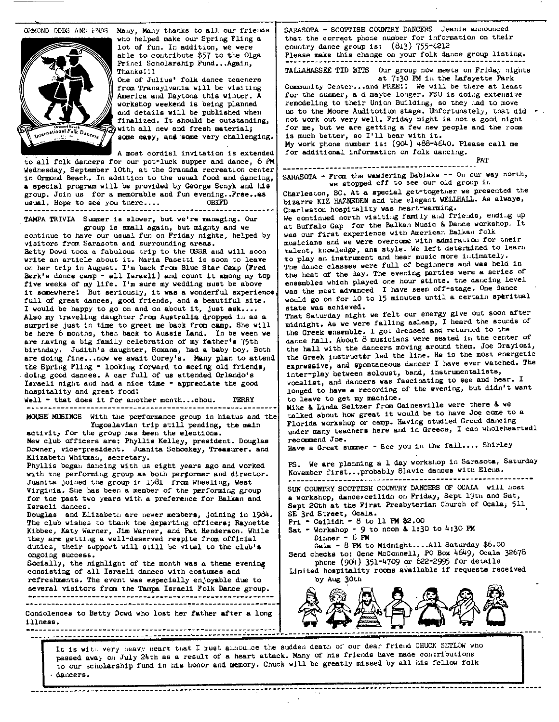

ORMOND ODDS AND ENDS. Many, Many thanks to all our friends who helped make our Spring Fling **a**  lot of fun. In addition, **we** were able to contribute \$57 to the Olga Princi Scholarship Fund...Again, Thanks!:!

One of Julius' folk dance teacners from Transylvania will be visiting America and Daytona this winter. A workshop weekend ie being planned and details will be published when finalized. It should be outstanding, with all new and fresh material; some easy, and some very challenging.

A most cordial invitation **is** extended to ali folk dancers for our pot-luck supper and dance, <sup>6</sup>**PM**  Wednesday, September 10th, at the Granada recreation center in Ormond Beach. In add1 t1on to the usual food **and** dancing, **a** special program will be provided by George Senyk and hie group, Join us for a memorable and fun evening. **Pree..as** usual. Hope to see you there.... OBIFD usual. Hope to see you there....

TAMPA TRIVIA Summer is slower, but we're managing. Our group is small again, but mighty and we

continue to have our usual fun on Friday nights, helped by visitors frcxn Sarasota and surrounding **areas.**  Betty Dowd took a fabulous trip to the USSR and will soon **write** an article about it. Maria Paeetti is soon to leave on her trip in August. I'm back frcm Blue Star Camp (Fred Berk's dance camp - all Israeli) and count it among my top **five weeks** of my life, I'm **sure** my wedding must be above it aanewhere! But seriously, it **was a** wonderful experience full of great dances, good friends, and **a** beautiful site. I would be happy to go on and on about it, just **ask ....**  Also my traveling daughter from Australia dropped in as a surprise just in time to greet me back from camp. She will be here 6 months, then back to Aussie Land. In be ween we are raving a big family celebration of my father's 75th birtnday. Judith's daughter, Roxana, had **a** baby boy, Both **are** doing fine •. ,now **we await** Corey's. **Many plan** to attend the Spring Fling - lookiug forward to **seeing** old **frienda,**  • doir,g good dances. A car full of **us** attended Orlando's **Iaraeli** night and had **a** nice **time** - **appreciate** the good hospitality and **great** food:

Well • that does it for another month...chou. TERRY

JfOWE. M\EINGS With the pert'onnance group in hiatus and the Yugoslavian trip still pending, the main activity for the group has been the elections.

**NeY** club officers are: Phyllis Kelley, president. Douglas Downer, vice-president. **Juanita Schockey, Treasurer. and**  Elizabeth Whitman, secretary.

Virginia. Slie has been a member of the performing group SUN COUNTRY SCOTTISH COUNTRY DANCERS OF OCAIA will host<br>Virginia. She has been a member of the performing group SUN COUNTRY SCOTTISH COUNTRY DANCERS OF OCAIA will ho Phyllis began dancing with us eight years ago and worked with the performing group as both performer and director. Juanita joined the group in 1981 from Wheeliug, West Virginia. She has been a member of the performing group for tne past two years with **a** preference for Balkan and **a** workshop, d&nce,ceilidh on Friday, Sept 19th and Sat,

Douglas and Elizabeth are newer members, joining in 1984. SE 3rd Street, Ocala.<br>The club wishes to thank the departing officers: Raynette | Fri - Ceilidh - 8 to 11 PM \$2.00 The club wishes to thank tne departing officers; Raynette Fri • Ceilidh - 8 to 11 PM \$2.00<br>Kibbee, Katy Warner, Jim Warner, and Pat Henderson, While Sat - Workshop - 9 to noon & 1:30 to 4:30 PM Kibbee, Katy Warner, Jim Warner, and Pat Henderson. While **Sat** = Workshop = 9 to they are getting a vell-deserved respite from official **FM** they are getting a well-deserved respite from official duties, their support will still be vital to the club's they are getting a well-deserved respite from official **bullions of the club** of the club's duties, their support will still be vital to the club's Gala **-** 8 PM to Midnight....All Saturday \$6.00 ongoing success.<br>Send checks to: Gene McConnell, PO Box 4649, Ocala 32678

consisting of all Israeli dances with costumes and | Limited hospitality rooms available if requests received refreshments. The event was especially enjoyable due to by Aug 30th several visitors from the Tampa Israeli Folk Dance group.

SARASCTA - SCOTTISH COUNTRY DANCERS Jeanie amnounced that the correct phone number for information on their country dance group is:  $(813)$  755- $(212)$ 

Please make this change on your folk dance group listing.

TALLAHASSEE TID BITS Our group now meets on Friday nights

at 7:30 PM in the Lafayette Park Community Center...and FREE!! We will be there at least for the summer, a d maybe longer. FSU is doing extensive remodeling to their Union Building, so they had to move us to the Moore Auditotium stage. Unfortunately, that did not work out very well. Friday night is not a good night for me, but we are getting a few new people and the room is much better, so I'll bear with it, My work phone number is: (904) 488·4640. Please call me for additional information on folk dancing,

PAT

---------------------------------------------- SARASC1l'A - Fran the Y-deriug Babiaks -- 011 our **way** north, we atopped off to see our old group ir.

Charleston, SC. At a special get-together we presented the bizarre KIZ HAZNEDEN and the elegant WELLHALL. As **alwaye,**  Char lee ton hosp1 tali ty **was** neart-yanning. We continued north visiting family and friends, ending up at Buffalo Gap for the Balkan Music & Dance workshop. It

vas our first experience with American Balkan folk musicians and we were overcome with admiration for their talent, knowledge, ans style. We left determined to learn to play an instrument and hear music more intimately. The dance classes were full of beginners and was held in the heat of the day. The evening parties were a series of ensembles which played one hour stints. the dancing level **was** the most advanced I have seen off-stage. One dance would go on for 10 to 15 minutes until a certain speritual state was achieved.

That Saturday night **we** felt our energy give out soon after midnight, As we were falling asleap, I heard the sounds of the Greek **wnsemble,** I got dressed and returned to the dance hall. About 8 musicians were seated in the center of the hall with the dancers moving around them. Joe Grayiosi, the Greek instructor led the line. He is the most energetic expressive, and spontaneous dancer I have ever watched. The inter-play between soloust, band, instrumentalists, vocalist, and dancers was fascinating to see and hear, I longed to have a recording of the evening, but didn't want to leave to get my machine.

Mike & Linda Seltzer from Gainesville were there & we talked about how great it would be to have Joe come to a Florida workshop or camp. Having studied Greed dancing under many teachers here and in Greece, I can wholeheartedl recommend Joe.

Have a Great summer - See you in the fall.... Shirley.

PS. We are planning a 1 day workshop in Sarasota, Saturday November first ••• probably Slavic dancee -witl1 Elena.

Israeli dances.<br>Douglas and Elizabeth are newer members, joining in 1984. SE 3rd Street, Ocala.

ongoing success.<br>Socially, the highlight of the month was a theme evening phone (904) 351-4709 or 622-2995 for details



passed awa<sub>y</sub> on July 24th as a result of a heart attack. Many of his friends have made contributions to our scholarship fund in **hill** honor and memory, Chuck will be greatly missed by all his fellow folk dancers.